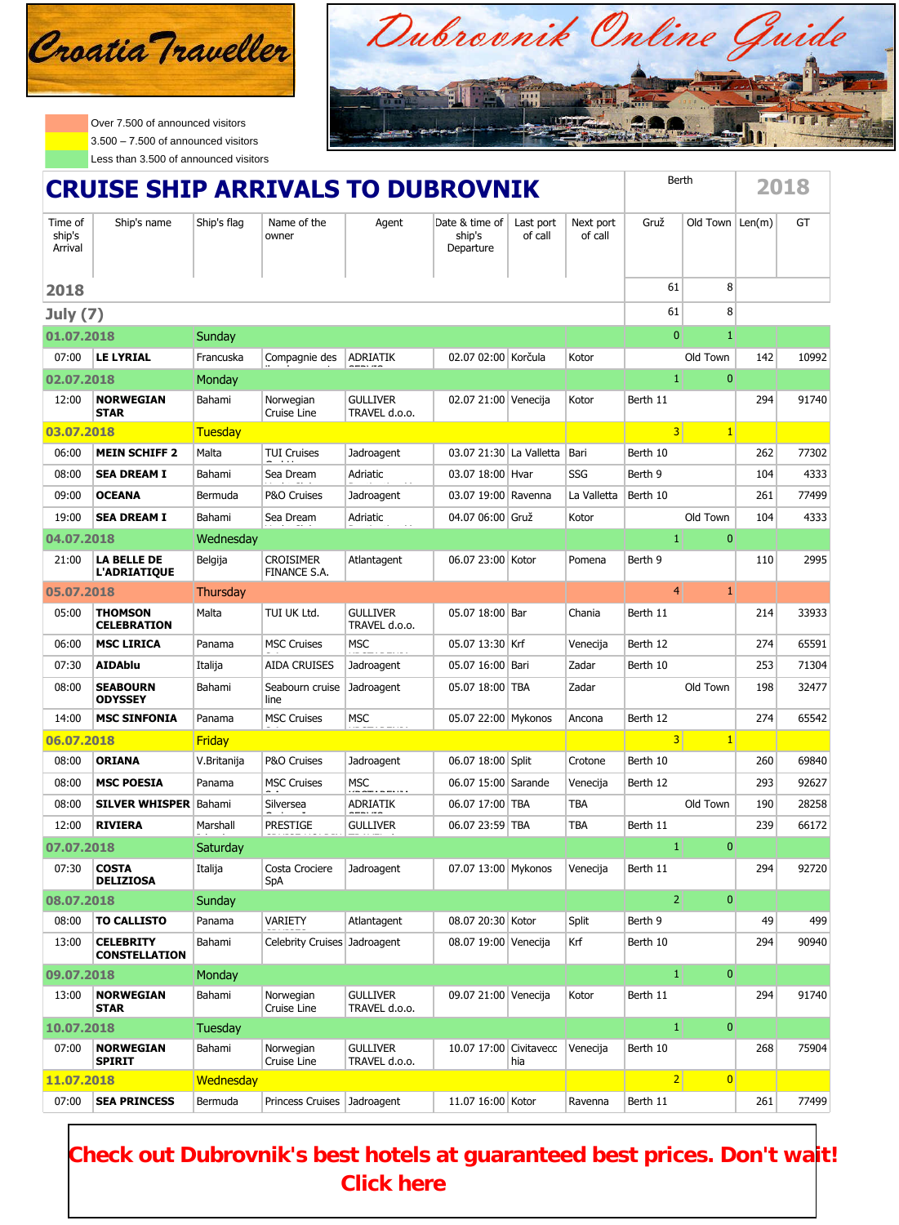

Over 7.500 of announced visitors  $3.500 - 7.500$  of announced visitors Less than 3.500 of announced visitors



| <b>CRUISE SHIP ARRIVALS TO DUBROVNIK</b> |                                          |                  |                                  |                                  |                                       | Berth                |                      | 2018            |                |        |       |
|------------------------------------------|------------------------------------------|------------------|----------------------------------|----------------------------------|---------------------------------------|----------------------|----------------------|-----------------|----------------|--------|-------|
| Time of<br>ship's<br>Arrival             | Ship's name                              | Ship's flag      | Name of the<br>owner             | Agent                            | Date & time of<br>ship's<br>Departure | Last port<br>of call | Next port<br>of call | Gruž            | Old Town       | Len(m) | GT    |
| 2018                                     |                                          |                  |                                  |                                  |                                       |                      |                      | 61              | 8              |        |       |
| July $(7)$                               |                                          |                  |                                  |                                  |                                       |                      |                      | 61              | 8              |        |       |
| 01.07.2018                               |                                          | Sunday           |                                  |                                  |                                       |                      |                      | $\mathbf{0}$    | $\mathbf{1}$   |        |       |
| 07:00                                    | <b>LE LYRIAL</b>                         | Francuska        | Compagnie des                    | <b>ADRIATIK</b>                  | 02.07 02:00 Korčula                   |                      | Kotor                |                 | Old Town       | 142    | 10992 |
| 02.07.2018                               |                                          | Monday           |                                  |                                  |                                       |                      |                      | $\mathbf{1}$    | $\bf{0}$       |        |       |
| 12:00                                    | <b>NORWEGIAN</b><br><b>STAR</b>          | Bahami           | Norwegian<br>Cruise Line         | <b>GULLIVER</b><br>TRAVEL d.o.o. | 02.07 21:00 Venecija                  |                      | Kotor                | Berth 11        |                | 294    | 91740 |
| 03.07.2018                               |                                          | Tuesday          |                                  |                                  |                                       |                      |                      | 3 <sup>1</sup>  | $\mathbf{1}$   |        |       |
| 06:00                                    | <b>MEIN SCHIFF 2</b>                     | Malta            | <b>TUI Cruises</b>               | Jadroagent                       | 03.07 21:30 La Valletta               |                      | Bari                 | Berth 10        |                | 262    | 77302 |
| 08:00                                    | <b>SEA DREAM I</b>                       | Bahami           | Sea Dream                        | Adriatic                         | 03.07 18:00 Hvar                      |                      | SSG                  | Berth 9         |                | 104    | 4333  |
| 09:00                                    | <b>OCEANA</b>                            | Bermuda          | P&O Cruises                      | Jadroagent                       | 03.07 19:00 Ravenna                   |                      | La Valletta          | Berth 10        |                | 261    | 77499 |
| 19:00                                    | <b>SEA DREAM I</b>                       | Bahami           | Sea Dream                        | Adriatic                         | 04.07 06:00 Gruž                      |                      | Kotor                |                 | Old Town       | 104    | 4333  |
| 04.07.2018                               |                                          | Wednesday        |                                  |                                  |                                       |                      |                      | $\mathbf{1}$    | $\bf{0}$       |        |       |
| 21:00                                    | <b>LA BELLE DE</b><br>L'ADRIATIQUE       | Belgija          | <b>CROISIMER</b><br>FINANCE S.A. | Atlantagent                      | 06.07 23:00 Kotor                     |                      | Pomena               | Berth 9         |                | 110    | 2995  |
| 05.07.2018                               |                                          | <b>Thursday</b>  |                                  |                                  |                                       |                      |                      | $\overline{4}$  | $\mathbf{1}$   |        |       |
| 05:00                                    | <b>THOMSON</b><br><b>CELEBRATION</b>     | Malta            | TUI UK Ltd.                      | <b>GULLIVER</b><br>TRAVEL d.o.o. | 05.07 18:00 Bar                       |                      | Chania               | Berth 11        |                | 214    | 33933 |
| 06:00                                    | <b>MSC LIRICA</b>                        | Panama           | <b>MSC Cruises</b>               | <b>MSC</b>                       | 05.07 13:30 Krf                       |                      | Venecija             | Berth 12        |                | 274    | 65591 |
| 07:30                                    | <b>AIDAblu</b>                           | Italija          | <b>AIDA CRUISES</b>              | Jadroagent                       | 05.07 16:00 Bari                      |                      | Zadar                | Berth 10        |                | 253    | 71304 |
| 08:00                                    | <b>SEABOURN</b><br><b>ODYSSEY</b>        | Bahami           | Seabourn cruise<br>line          | Jadroagent                       | 05.07 18:00 TBA                       |                      | Zadar                |                 | Old Town       | 198    | 32477 |
| 14:00                                    | <b>MSC SINFONIA</b>                      | Panama           | <b>MSC Cruises</b>               | <b>MSC</b>                       | 05.07 22:00 Mykonos                   |                      | Ancona               | Berth 12        |                | 274    | 65542 |
| 06.07.2018                               |                                          | <b>Friday</b>    |                                  |                                  |                                       |                      |                      | 3 <sup>1</sup>  | $\mathbf{1}$   |        |       |
| 08:00                                    | <b>ORIANA</b>                            | V.Britanija      | P&O Cruises                      | Jadroagent                       | 06.07 18:00 Split                     |                      | Crotone              | Berth 10        |                | 260    | 69840 |
| 08:00                                    | <b>MSC POESIA</b>                        | Panama           | <b>MSC Cruises</b>               | <b>MSC</b>                       | 06.07 15:00 Sarande                   |                      | Venecija             | Berth 12        |                | 293    | 92627 |
| 08:00                                    | <b>SILVER WHISPER</b>                    | Bahami           | Silversea                        | <b>ADRIATIK</b>                  | 06.07 17:00 TBA                       |                      | TBA                  |                 | Old Town       | 190    | 28258 |
| 12:00                                    | <b>RIVIERA</b>                           | Marshall         | <b>PRESTIGE</b>                  | <b>GULLIVER</b>                  | 06.07 23:59 TBA                       |                      | TBA                  | Berth 11        |                | 239    | 66172 |
| 07.07.2018                               |                                          | Saturday         |                                  |                                  |                                       |                      |                      | $\mathbf{1}$    | $\overline{0}$ |        |       |
| 07:30                                    | <b>COSTA</b><br><b>DELIZIOSA</b>         | Italija          | Costa Crociere<br>SpA            | Jadroagent                       | 07.07 13:00 Mykonos                   |                      | Venecija             | Berth 11        |                | 294    | 92720 |
| 08.07.2018                               |                                          | Sunday           |                                  |                                  |                                       |                      |                      | 2               | $\mathbf{0}$   |        |       |
| 08:00                                    | <b>TO CALLISTO</b>                       | Panama           | VARIETY                          | Atlantagent                      | 08.07 20:30 Kotor                     |                      | Split                | Berth 9         |                | 49     | 499   |
| 13:00                                    | <b>CELEBRITY</b><br><b>CONSTELLATION</b> | Bahami           | Celebrity Cruises Jadroagent     |                                  | 08.07 19:00 Venecija                  |                      | Krf                  | Berth 10        |                | 294    | 90940 |
| 09.07.2018                               |                                          | Monday           |                                  |                                  |                                       |                      |                      | $\vert 1 \vert$ | $\bf{0}$       |        |       |
| 13:00                                    | <b>NORWEGIAN</b><br><b>STAR</b>          | Bahami           | Norwegian<br>Cruise Line         | <b>GULLIVER</b><br>TRAVEL d.o.o. | 09.07 21:00 Venecija                  |                      | Kotor                | Berth 11        |                | 294    | 91740 |
| 10.07.2018                               |                                          | <b>Tuesday</b>   |                                  |                                  |                                       |                      |                      | $\vert 1 \vert$ | $\mathbf{0}$   |        |       |
| 07:00                                    | <b>NORWEGIAN</b><br><b>SPIRIT</b>        | Bahami           | Norwegian<br>Cruise Line         | <b>GULLIVER</b><br>TRAVEL d.o.o. | 10.07 17:00 Civitavecc                | hia                  | Venecija             | Berth 10        |                | 268    | 75904 |
| 11.07.2018                               |                                          | <b>Wednesday</b> |                                  |                                  |                                       |                      |                      | $\overline{2}$  | $\overline{0}$ |        |       |
| 07:00                                    | <b>SEA PRINCESS</b>                      | Bermuda          | Princess Cruises                 | Jadroagent                       | 11.07 16:00 Kotor                     |                      | Ravenna              | Berth 11        |                | 261    | 77499 |

**[Check out Dubrovnik's best hotels at guaranteed best prices. Don't wai](http://m.booking.com/city/hr/dubrovnik.html?aid=322276)t! Click here**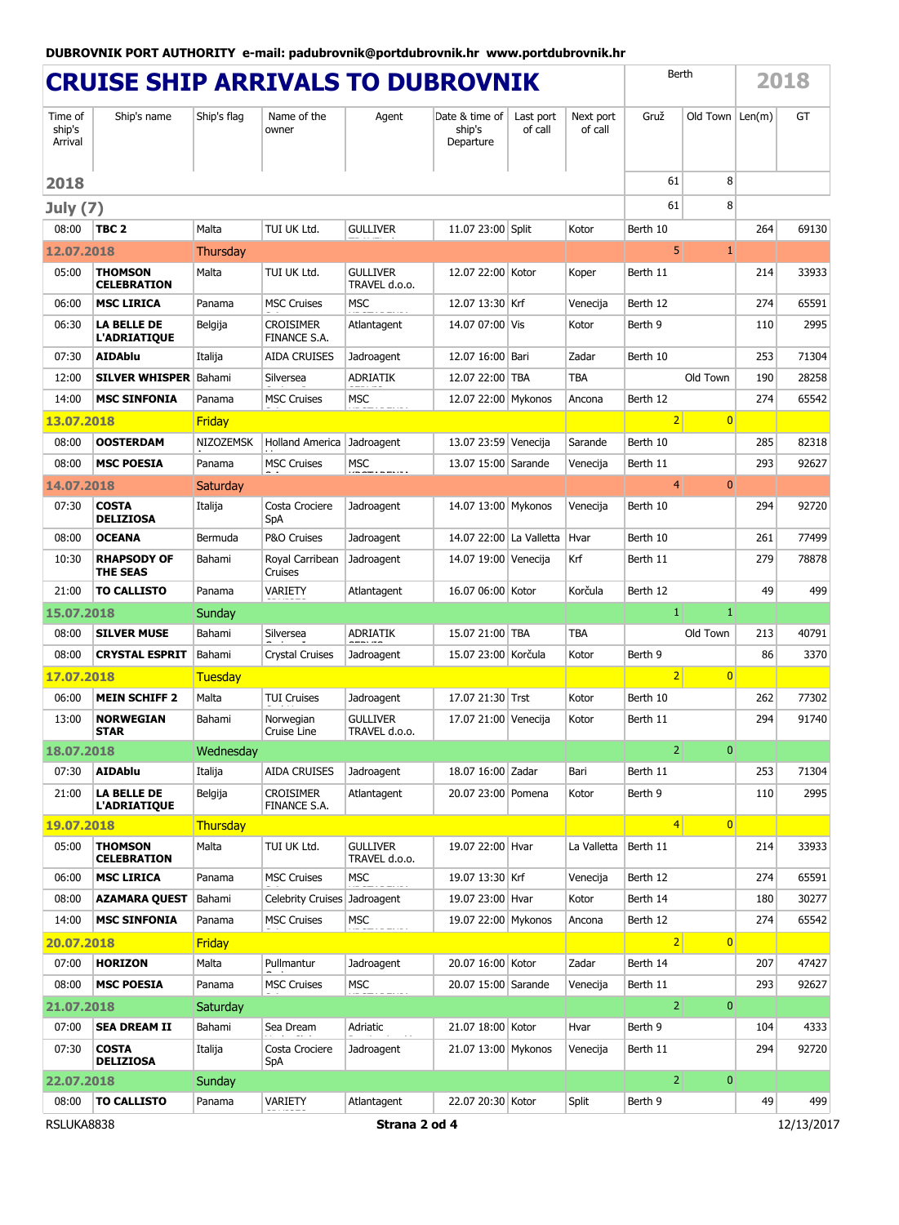| <b>CRUISE SHIP ARRIVALS TO DUBROVNIK</b>  |                                           |                  |                                         |                                  |                                       |                      |                      | Berth           |                    |     | 2018  |
|-------------------------------------------|-------------------------------------------|------------------|-----------------------------------------|----------------------------------|---------------------------------------|----------------------|----------------------|-----------------|--------------------|-----|-------|
| Time of<br>ship's<br>Arrival              | Ship's name                               | Ship's flag      | Name of the<br>owner                    | Agent                            | Date & time of<br>ship's<br>Departure | Last port<br>of call | Next port<br>of call | Gruž            | Old Town $ Len(m)$ |     | GT    |
| 2018                                      |                                           |                  |                                         |                                  |                                       |                      |                      | 61              | 8                  |     |       |
| <b>July (7)</b>                           |                                           |                  |                                         |                                  |                                       |                      |                      | 61              | 8                  |     |       |
| 08:00                                     | TBC 2                                     | Malta            | TUI UK Ltd.                             | <b>GULLIVER</b>                  | 11.07 23:00 Split                     |                      | Kotor                | Berth 10        |                    | 264 | 69130 |
| 12.07.2018                                |                                           | <b>Thursday</b>  |                                         |                                  |                                       |                      |                      | 5 <sup>1</sup>  | $\mathbf{1}$       |     |       |
| 05:00                                     | THOMSON<br><b>CELEBRATION</b>             | Malta            | TUI UK Ltd.                             | <b>GULLIVER</b><br>TRAVEL d.o.o. | 12.07 22:00 Kotor                     |                      | Koper                | Berth 11        |                    | 214 | 33933 |
| 06:00                                     | <b>MSC LIRICA</b>                         | Panama           | <b>MSC Cruises</b>                      | <b>MSC</b>                       | 12.07 13:30 Krf                       |                      | Venecija             | Berth 12        |                    | 274 | 65591 |
| 06:30                                     | LA BELLE DE<br><b>L'ADRIATIQUE</b>        | Belgija          | <b>CROISIMER</b><br><b>FINANCE S.A.</b> | Atlantagent                      | 14.07 07:00 Vis                       |                      | Kotor                | Berth 9         |                    | 110 | 2995  |
| 07:30                                     | <b>AIDAblu</b>                            | Italija          | <b>AIDA CRUISES</b>                     | Jadroagent                       | 12.07 16:00 Bari                      |                      | Zadar                | Berth 10        |                    | 253 | 71304 |
| 12:00                                     | <b>SILVER WHISPER Bahami</b>              |                  | Silversea                               | <b>ADRIATIK</b>                  | 12.07 22:00 TBA                       |                      | <b>TBA</b>           |                 | Old Town           | 190 | 28258 |
| 14:00                                     | <b>MSC SINFONIA</b>                       | Panama           | <b>MSC Cruises</b>                      | <b>MSC</b>                       | 12.07 22:00 Mykonos                   |                      | Ancona               | Berth 12        |                    | 274 | 65542 |
| 13.07.2018                                |                                           | <b>Friday</b>    |                                         |                                  |                                       |                      |                      | 2               | $\overline{0}$     |     |       |
| 08:00                                     | <b>OOSTERDAM</b>                          | <b>NIZOZEMSK</b> | <b>Holland America</b>                  | Jadroagent                       | 13.07 23:59 Venecija                  |                      | Sarande              | Berth 10        |                    | 285 | 82318 |
| 08:00                                     | <b>MSC POESIA</b>                         | Panama           | <b>MSC Cruises</b>                      | MSC                              | 13.07 15:00 Sarande                   |                      | Venecija             | Berth 11        |                    | 293 | 92627 |
| 14.07.2018                                |                                           | Saturday         |                                         |                                  |                                       |                      |                      | $\overline{4}$  | $\mathbf{0}$       |     |       |
| 07:30                                     | <b>COSTA</b><br><b>DELIZIOSA</b>          | Italija          | Costa Crociere<br>SpA                   | Jadroagent                       | 14.07 13:00 Mykonos                   |                      | Venecija             | Berth 10        |                    | 294 | 92720 |
| 08:00                                     | <b>OCEANA</b>                             | Bermuda          | P&O Cruises                             | Jadroagent                       | 14.07 22:00 La Valletta               |                      | Hvar                 | Berth 10        |                    | 261 | 77499 |
| 10:30                                     | <b>RHAPSODY OF</b><br><b>THE SEAS</b>     | Bahami           | Royal Carribean<br>Cruises              | Jadroagent                       | 14.07 19:00 Venecija                  |                      | Krf                  | Berth 11        |                    | 279 | 78878 |
| 21:00                                     | <b>TO CALLISTO</b>                        | Panama           | VARIETY                                 | Atlantagent                      | 16.07 06:00 Kotor                     |                      | Korčula              | Berth 12        |                    | 49  | 499   |
| 15.07.2018                                |                                           | Sunday           |                                         |                                  |                                       |                      |                      | $\mathbf{1}$    | $\mathbf{1}$       |     |       |
| 08:00                                     | <b>SILVER MUSE</b>                        | Bahami           | Silversea                               | ADRIATIK                         | 15.07 21:00 TBA                       |                      | <b>TBA</b>           |                 | Old Town           | 213 | 40791 |
| 08:00                                     | <b>CRYSTAL ESPRIT</b>                     | Bahami           | <b>Crystal Cruises</b>                  | Jadroagent                       | 15.07 23:00 Korčula                   |                      | Kotor                | Berth 9         |                    | 86  | 3370  |
| 17.07.2018                                |                                           | Tuesday          |                                         |                                  |                                       |                      |                      | 2               | $\overline{0}$     |     |       |
| 06:00                                     | <b>MEIN SCHIFF 2</b>                      | Malta            | <b>TUI Cruises</b>                      | Jadroagent                       | 17.07 21:30 Trst                      |                      | Kotor                | Berth 10        |                    | 262 | 77302 |
| 13:00                                     | <b>NORWEGIAN</b><br>STAR                  | Bahami           | Norwegian<br>Cruise Line                | <b>GULLIVER</b><br>TRAVEL d.o.o. | 17.07 21:00 Venecija                  |                      | Kotor                | Berth 11        |                    | 294 | 91740 |
| 18.07.2018                                |                                           | Wednesday        |                                         |                                  |                                       |                      |                      | 2 <sup>1</sup>  | $\mathbf{0}$       |     |       |
| 07:30                                     | <b>AIDAblu</b>                            | Italija          | <b>AIDA CRUISES</b>                     | Jadroagent                       | 18.07 16:00 Zadar                     |                      | Bari                 | Berth 11        |                    | 253 | 71304 |
| 21:00                                     | <b>LA BELLE DE</b><br><b>L'ADRIATIQUE</b> | Belgija          | <b>CROISIMER</b><br>FINANCE S.A.        | Atlantagent                      | 20.07 23:00 Pomena                    |                      | Kotor                | Berth 9         |                    | 110 | 2995  |
| 19.07.2018                                |                                           | <b>Thursday</b>  |                                         |                                  |                                       |                      |                      | $\vert 4 \vert$ | $\overline{0}$     |     |       |
| 05:00                                     | THOMSON<br><b>CELEBRATION</b>             | Malta            | TUI UK Ltd.                             | <b>GULLIVER</b><br>TRAVEL d.o.o. | 19.07 22:00 Hvar                      |                      | La Valletta          | Berth 11        |                    | 214 | 33933 |
| 06:00                                     | <b>MSC LIRICA</b>                         | Panama           | <b>MSC Cruises</b>                      | <b>MSC</b>                       | 19.07 13:30 Krf                       |                      | Venecija             | Berth 12        |                    | 274 | 65591 |
| 08:00                                     | <b>AZAMARA QUEST</b>                      | Bahami           | <b>Celebrity Cruises</b>                | Jadroagent                       | 19.07 23:00 Hvar                      |                      | Kotor                | Berth 14        |                    | 180 | 30277 |
| 14:00                                     | <b>MSC SINFONIA</b>                       | Panama           | <b>MSC Cruises</b>                      | <b>MSC</b>                       | 19.07 22:00 Mykonos                   |                      | Ancona               | Berth 12        |                    | 274 | 65542 |
| 20.07.2018                                |                                           | <b>Friday</b>    |                                         |                                  |                                       |                      |                      | 2               | $\overline{0}$     |     |       |
| 07:00                                     | <b>HORIZON</b>                            | Malta            | Pullmantur                              | Jadroagent                       | 20.07 16:00 Kotor                     |                      | Zadar                | Berth 14        |                    | 207 | 47427 |
| 08:00                                     | <b>MSC POESIA</b>                         | Panama           | <b>MSC Cruises</b>                      | <b>MSC</b>                       | 20.07 15:00 Sarande                   |                      | Venecija             | Berth 11        |                    | 293 | 92627 |
| 21.07.2018                                |                                           | Saturday         |                                         |                                  |                                       |                      |                      | $\overline{2}$  | $\mathbf{0}$       |     |       |
| 07:00                                     | <b>SEA DREAM II</b>                       | Bahami           | Sea Dream                               | Adriatic                         | 21.07 18:00 Kotor                     |                      | Hvar                 | Berth 9         |                    | 104 | 4333  |
| 07:30                                     | <b>COSTA</b><br><b>DELIZIOSA</b>          | Italija          | Costa Crociere<br>SpA                   | Jadroagent                       | 21.07 13:00 Mykonos                   |                      | Venecija             | Berth 11        |                    | 294 | 92720 |
| 22.07.2018                                |                                           | Sunday           |                                         |                                  |                                       |                      |                      | 2 <sup>1</sup>  | 0                  |     |       |
| 08:00                                     | <b>TO CALLISTO</b>                        | Panama           | VARIETY                                 | Atlantagent                      | 22.07 20:30 Kotor                     |                      | Split                | Berth 9         |                    | 49  | 499   |
| RSLUKA8838<br>Strana 2 od 4<br>12/13/2017 |                                           |                  |                                         |                                  |                                       |                      |                      |                 |                    |     |       |